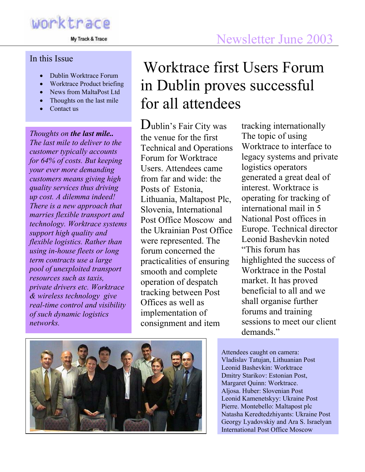My Track & Trace

#### In this Issue

- Dublin Worktrace Forum
- Worktrace Product briefing
- News from MaltaPost Ltd
- Thoughts on the last mile
- Contact us

*Thoughts on the last mile.. The last mile to deliver to the customer typically accounts for 64% of costs. But keeping your ever more demanding customers means giving high quality services thus driving up cost. A dilemma indeed! There is a new approach that marries flexible transport and technology. Worktrace systems support high quality and flexible logistics. Rather than using in-house fleets or long term contracts use a large pool of unexploited transport resources such as taxis, private drivers etc. Worktrace & wireless technology give real-time control and visibility of such dynamic logistics networks.* 

## Worktrace first Users Forum in Dublin proves successful for all attendees

Dublin's Fair City was the venue for the first Technical and Operations Forum for Worktrace Users. Attendees came from far and wide: the Posts of Estonia, Lithuania, Maltapost Plc, Slovenia, International Post Office Moscow and the Ukrainian Post Office were represented. The forum concerned the practicalities of ensuring smooth and complete operation of despatch tracking between Post Offices as well as implementation of consignment and item

tracking internationally The topic of using Worktrace to interface to legacy systems and private logistics operators generated a great deal of interest. Worktrace is operating for tracking of international mail in 5 National Post offices in Europe. Technical director Leonid Bashevkin noted "This forum has highlighted the success of Worktrace in the Postal market. It has proved beneficial to all and we shall organise further forums and training sessions to meet our client demands<sup>"</sup>



Attendees caught on camera: Vladislav Tatujan, Lithuanian Post Leonid Bashevkin: Worktrace Dmitry Starikov: Estonian Post, Margaret Quinn: Worktrace. Aljosa. Huber: Slovenian Post Leonid Kamenetskyy: Ukraine Post Pierre. Montebello: Maltapost plc Natasha Keredtedzhiyants: Ukraine Post Georgy Lyadovskiy and Ara S. Israelyan International Post Office Moscow